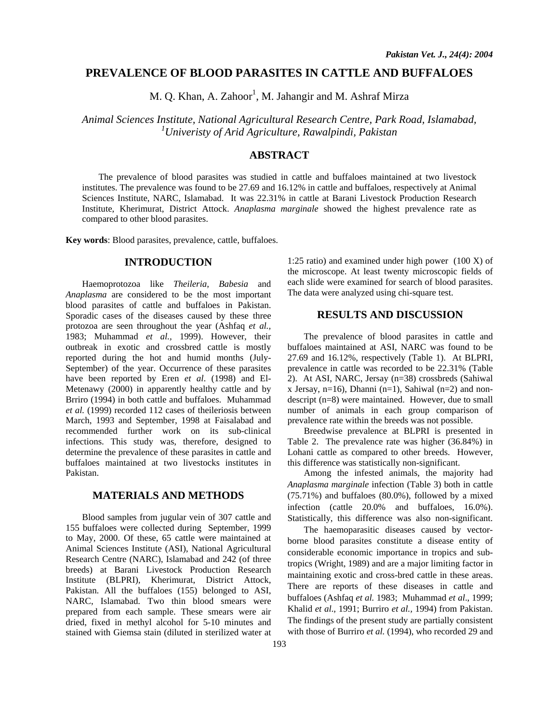## **PREVALENCE OF BLOOD PARASITES IN CATTLE AND BUFFALOES**

M. Q. Khan, A. Zahoor<sup>1</sup>, M. Jahangir and M. Ashraf Mirza

*Animal Sciences Institute, National Agricultural Research Centre, Park Road, Islamabad, 1 Univeristy of Arid Agriculture, Rawalpindi, Pakistan*

# **ABSTRACT**

The prevalence of blood parasites was studied in cattle and buffaloes maintained at two livestock institutes. The prevalence was found to be 27.69 and 16.12% in cattle and buffaloes, respectively at Animal Sciences Institute, NARC, Islamabad. It was 22.31% in cattle at Barani Livestock Production Research Institute, Kherimurat, District Attock. *Anaplasma marginale* showed the highest prevalence rate as compared to other blood parasites.

**Key words**: Blood parasites, prevalence, cattle, buffaloes.

### **INTRODUCTION**

Haemoprotozoa like *Theileria*, *Babesia* and *Anaplasma* are considered to be the most important blood parasites of cattle and buffaloes in Pakistan. Sporadic cases of the diseases caused by these three protozoa are seen throughout the year (Ashfaq *et al.,* 1983; Muhammad *et al.,* 1999). However, their outbreak in exotic and crossbred cattle is mostly reported during the hot and humid months (July-September) of the year. Occurrence of these parasites have been reported by Eren *et al*. (1998) and El-Metenawy (2000) in apparently healthy cattle and by Brriro (1994) in both cattle and buffaloes. Muhammad *et al.* (1999) recorded 112 cases of theileriosis between March, 1993 and September, 1998 at Faisalabad and recommended further work on its sub-clinical infections. This study was, therefore, designed to determine the prevalence of these parasites in cattle and buffaloes maintained at two livestocks institutes in Pakistan.

### **MATERIALS AND METHODS**

Blood samples from jugular vein of 307 cattle and 155 buffaloes were collected during September, 1999 to May, 2000. Of these, 65 cattle were maintained at Animal Sciences Institute (ASI), National Agricultural Research Centre (NARC), Islamabad and 242 (of three breeds) at Barani Livestock Production Research Institute (BLPRI), Kherimurat, District Attock, Pakistan. All the buffaloes (155) belonged to ASI, NARC, Islamabad. Two thin blood smears were prepared from each sample. These smears were air dried, fixed in methyl alcohol for 5-10 minutes and stained with Giemsa stain (diluted in sterilized water at

1:25 ratio) and examined under high power (100 X) of the microscope. At least twenty microscopic fields of each slide were examined for search of blood parasites. The data were analyzed using chi-square test.

#### **RESULTS AND DISCUSSION**

The prevalence of blood parasites in cattle and buffaloes maintained at ASI, NARC was found to be 27.69 and 16.12%, respectively (Table 1). At BLPRI, prevalence in cattle was recorded to be 22.31% (Table 2). At ASI, NARC, Jersay (n=38) crossbreds (Sahiwal x Jersay, n=16), Dhanni (n=1), Sahiwal (n=2) and nondescript (n=8) were maintained. However, due to small number of animals in each group comparison of prevalence rate within the breeds was not possible.

Breedwise prevalence at BLPRI is presented in Table 2. The prevalence rate was higher (36.84%) in Lohani cattle as compared to other breeds. However, this difference was statistically non-significant.

Among the infested animals, the majority had *Anaplasma marginale* infection (Table 3) both in cattle (75.71%) and buffaloes (80.0%), followed by a mixed infection (cattle 20.0% and buffaloes, 16.0%). Statistically, this difference was also non-significant.

 The haemoparasitic diseases caused by vectorborne blood parasites constitute a disease entity of considerable economic importance in tropics and subtropics (Wright, 1989) and are a major limiting factor in maintaining exotic and cross-bred cattle in these areas. There are reports of these diseases in cattle and buffaloes (Ashfaq *et al.* 1983; Muhammad *et al*., 1999; Khalid *et al*., 1991; Burriro *et al.,* 1994) from Pakistan. The findings of the present study are partially consistent with those of Burriro *et al.* (1994), who recorded 29 and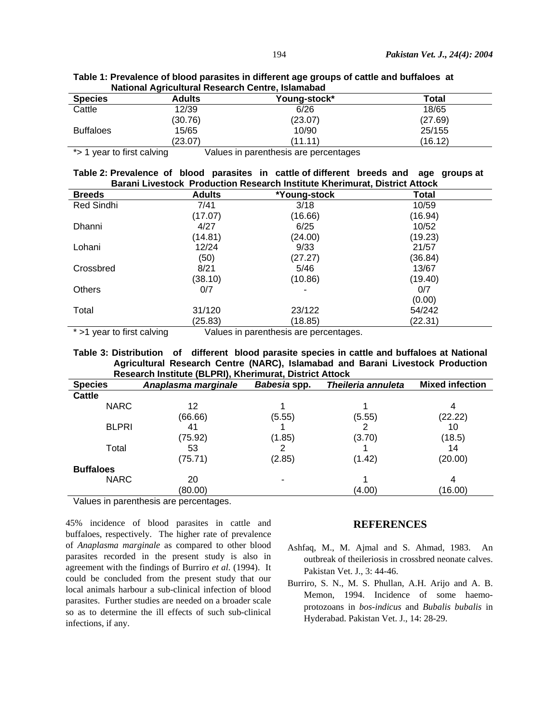| National Agricultural Research Centre, Islamabad |               |              |         |  |
|--------------------------------------------------|---------------|--------------|---------|--|
| <b>Species</b>                                   | <b>Adults</b> | Young-stock* | Total   |  |
| Cattle                                           | 12/39         | 6/26         | 18/65   |  |
|                                                  | (30.76)       | (23.07)      | (27.69) |  |
| <b>Buffaloes</b>                                 | 15/65         | 10/90        | 25/155  |  |
|                                                  | (23.07)       | (11.11)      | (16.12) |  |

**Table 1: Prevalence of blood parasites in different age groups of cattle and buffaloes at National Agricultural Research Centre, Islamabad** 

\*> 1 year to first calving Values in parenthesis are percentages

| Table 2: Prevalence of blood parasites in cattle of different breeds and age groups at |  |  |  |  |  |  |  |  |
|----------------------------------------------------------------------------------------|--|--|--|--|--|--|--|--|
| <b>Barani Livestock Production Research Institute Kherimurat, District Attock</b>      |  |  |  |  |  |  |  |  |

| <b>Breeds</b>                              | <b>Adults</b> | *Young-stock                                   | <b>Total</b> |  |
|--------------------------------------------|---------------|------------------------------------------------|--------------|--|
| Red Sindhi                                 | 7/41          | 3/18                                           | 10/59        |  |
|                                            | (17.07)       | (16.66)                                        | (16.94)      |  |
| Dhanni                                     | 4/27          | 6/25                                           | 10/52        |  |
|                                            | (14.81)       | (24.00)                                        | (19.23)      |  |
| Lohani                                     | 12/24         | 9/33                                           | 21/57        |  |
|                                            | (50)          | (27.27)                                        | (36.84)      |  |
| Crossbred                                  | 8/21          | 5/46                                           | 13/67        |  |
|                                            | (38.10)       | (10.86)                                        | (19.40)      |  |
| <b>Others</b>                              | 0/7           |                                                | 0/7          |  |
|                                            |               |                                                | (0.00)       |  |
| Total                                      | 31/120        | 23/122                                         | 54/242       |  |
|                                            | (25.83)       | (18.85)                                        | (22.31)      |  |
| <b><i>x. A consulta float and data</i></b> |               | $\lambda$ /aluga in navanthagia ara-navantanga |              |  |

 $>$ 1 year to first calving Values in parenthesis are percentages.

**Table 3: Distribution of different blood parasite species in cattle and buffaloes at National Agricultural Research Centre (NARC), Islamabad and Barani Livestock Production Research Institute (BLPRI), Kherimurat, District Attock** 

| <b>Species</b>                           | Anaplasma marginale | Babesia spp. | Theileria annuleta | <b>Mixed infection</b> |
|------------------------------------------|---------------------|--------------|--------------------|------------------------|
| <b>Cattle</b>                            |                     |              |                    |                        |
| <b>NARC</b>                              | 12                  |              |                    | 4                      |
|                                          | (66.66)             | (5.55)       | (5.55)             | (22.22)                |
| <b>BLPRI</b>                             | 41                  |              |                    | 10                     |
|                                          | (75.92)             | (1.85)       | (3.70)             | (18.5)                 |
| Total                                    | 53                  |              |                    | 14                     |
|                                          | (75.71)             | (2.85)       | (1.42)             | (20.00)                |
| <b>Buffaloes</b>                         |                     |              |                    |                        |
| <b>NARC</b>                              | 20                  |              |                    | 4                      |
|                                          | (80.00)             |              | (4.00)             | (16.00)                |
| $\cdot$ $\cdot$ $\cdot$<br>$\sim$ $\sim$ |                     |              |                    |                        |

Values in parenthesis are percentages.

45% incidence of blood parasites in cattle and buffaloes, respectively. The higher rate of prevalence of *Anaplasma marginale* as compared to other blood parasites recorded in the present study is also in agreement with the findings of Burriro *et al*. (1994). It could be concluded from the present study that our local animals harbour a sub-clinical infection of blood parasites. Further studies are needed on a broader scale so as to determine the ill effects of such sub-clinical infections, if any.

#### **REFERENCES**

- Ashfaq, M., M. Ajmal and S. Ahmad, 1983. An outbreak of theileriosis in crossbred neonate calves. Pakistan Vet. J., 3: 44-46.
- Burriro, S. N., M. S. Phullan, A.H. Arijo and A. B. Memon, 1994. Incidence of some haemoprotozoans in *bos-indicus* and *Bubalis bubalis* in Hyderabad. Pakistan Vet. J., 14: 28-29.